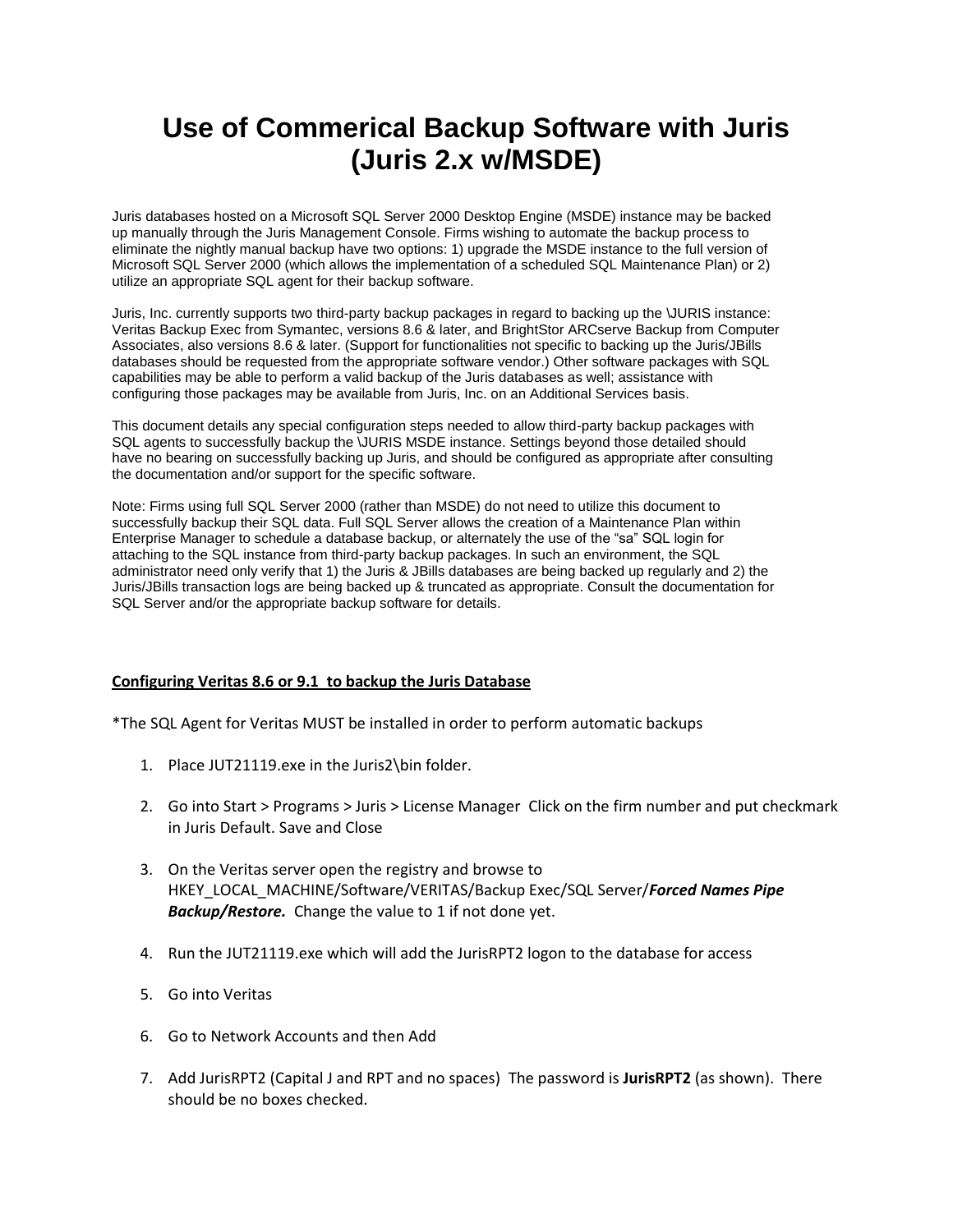## **Use of Commerical Backup Software with Juris (Juris 2.x w/MSDE)**

Juris databases hosted on a Microsoft SQL Server 2000 Desktop Engine (MSDE) instance may be backed up manually through the Juris Management Console. Firms wishing to automate the backup process to eliminate the nightly manual backup have two options: 1) upgrade the MSDE instance to the full version of Microsoft SQL Server 2000 (which allows the implementation of a scheduled SQL Maintenance Plan) or 2) utilize an appropriate SQL agent for their backup software.

Juris, Inc. currently supports two third-party backup packages in regard to backing up the \JURIS instance: Veritas Backup Exec from Symantec, versions 8.6 & later, and BrightStor ARCserve Backup from Computer Associates, also versions 8.6 & later. (Support for functionalities not specific to backing up the Juris/JBills databases should be requested from the appropriate software vendor.) Other software packages with SQL capabilities may be able to perform a valid backup of the Juris databases as well; assistance with configuring those packages may be available from Juris, Inc. on an Additional Services basis.

This document details any special configuration steps needed to allow third-party backup packages with SQL agents to successfully backup the \JURIS MSDE instance. Settings beyond those detailed should have no bearing on successfully backing up Juris, and should be configured as appropriate after consulting the documentation and/or support for the specific software.

Note: Firms using full SQL Server 2000 (rather than MSDE) do not need to utilize this document to successfully backup their SQL data. Full SQL Server allows the creation of a Maintenance Plan within Enterprise Manager to schedule a database backup, or alternately the use of the "sa" SQL login for attaching to the SQL instance from third-party backup packages. In such an environment, the SQL administrator need only verify that 1) the Juris & JBills databases are being backed up regularly and 2) the Juris/JBills transaction logs are being backed up & truncated as appropriate. Consult the documentation for SQL Server and/or the appropriate backup software for details.

## **Configuring Veritas 8.6 or 9.1 to backup the Juris Database**

\*The SQL Agent for Veritas MUST be installed in order to perform automatic backups

- 1. Place JUT21119.exe in the Juris2\bin folder.
- 2. Go into Start > Programs > Juris > License Manager Click on the firm number and put checkmark in Juris Default. Save and Close
- 3. On the Veritas server open the registry and browse to HKEY\_LOCAL\_MACHINE/Software/VERITAS/Backup Exec/SQL Server/*Forced Names Pipe Backup/Restore.* Change the value to 1 if not done yet.
- 4. Run the JUT21119.exe which will add the JurisRPT2 logon to the database for access
- 5. Go into Veritas
- 6. Go to Network Accounts and then Add
- 7. Add JurisRPT2 (Capital J and RPT and no spaces) The password is **JurisRPT2** (as shown). There should be no boxes checked.